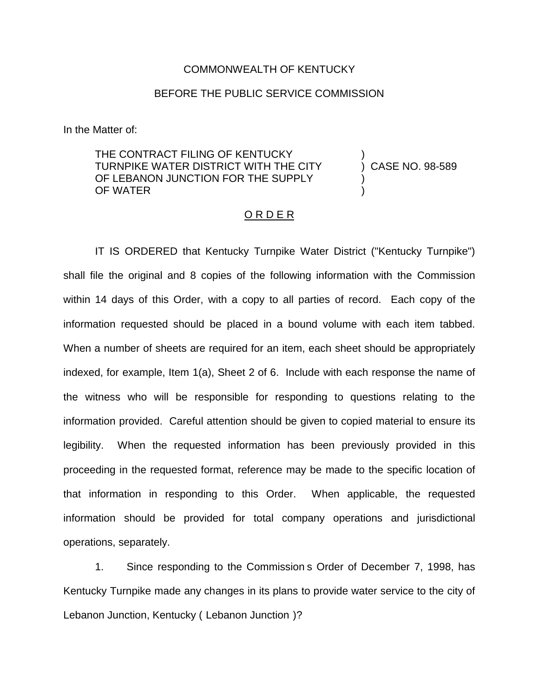## COMMONWEALTH OF KENTUCKY

## BEFORE THE PUBLIC SERVICE COMMISSION

In the Matter of:

THE CONTRACT FILING OF KENTUCKY TURNPIKE WATER DISTRICT WITH THE CITY OF LEBANON JUNCTION FOR THE SUPPLY OF WATER

) CASE NO. 98-589

)

) )

## O R D E R

IT IS ORDERED that Kentucky Turnpike Water District ("Kentucky Turnpike") shall file the original and 8 copies of the following information with the Commission within 14 days of this Order, with a copy to all parties of record. Each copy of the information requested should be placed in a bound volume with each item tabbed. When a number of sheets are required for an item, each sheet should be appropriately indexed, for example, Item 1(a), Sheet 2 of 6. Include with each response the name of the witness who will be responsible for responding to questions relating to the information provided. Careful attention should be given to copied material to ensure its legibility. When the requested information has been previously provided in this proceeding in the requested format, reference may be made to the specific location of that information in responding to this Order. When applicable, the requested information should be provided for total company operations and jurisdictional operations, separately.

1. Since responding to the Commission s Order of December 7, 1998, has Kentucky Turnpike made any changes in its plans to provide water service to the city of Lebanon Junction, Kentucky ( Lebanon Junction )?